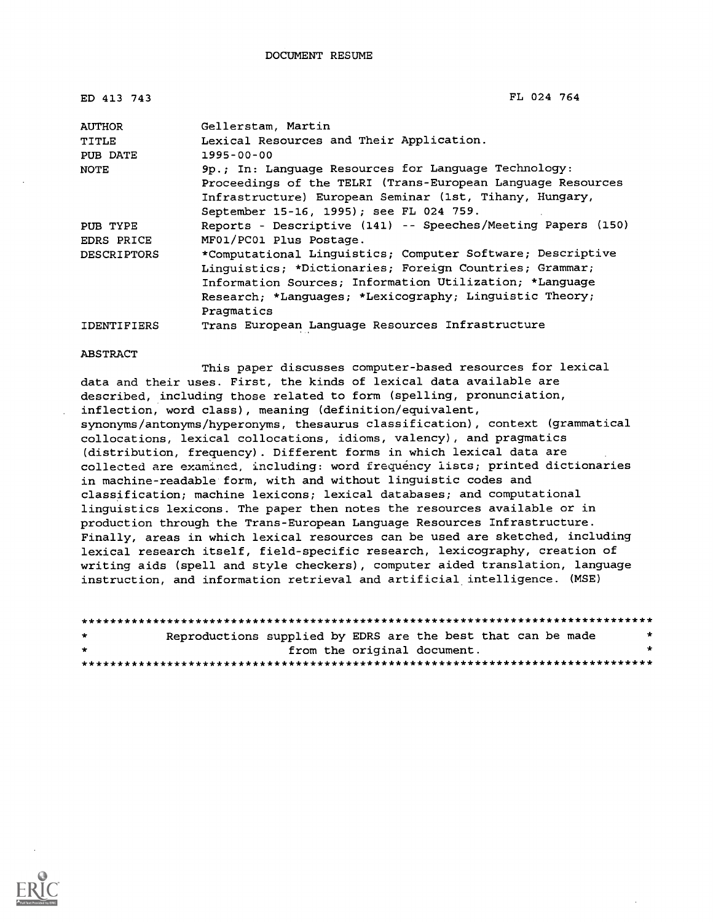| ED 413 743         | FL 024 764                                                   |
|--------------------|--------------------------------------------------------------|
| <b>AUTHOR</b>      | Gellerstam, Martin                                           |
| TITLE              | Lexical Resources and Their Application.                     |
| PUB DATE           | $1995 - 00 - 00$                                             |
| <b>NOTE</b>        | 9p.; In: Language Resources for Language Technology:         |
|                    | Proceedings of the TELRI (Trans-European Language Resources  |
|                    | Infrastructure) European Seminar (1st, Tihany, Hungary,      |
|                    | September 15-16, 1995); see FL 024 759.                      |
| PUB TYPE           | Reports - Descriptive (141) -- Speeches/Meeting Papers (150) |
| EDRS PRICE         | MF01/PC01 Plus Postage.                                      |
| <b>DESCRIPTORS</b> | *Computational Linguistics; Computer Software; Descriptive   |
|                    | Linguistics; *Dictionaries; Foreign Countries; Grammar;      |
|                    | Information Sources: Information Utilization; *Language      |
|                    | Research; *Languages; *Lexicography; Linguistic Theory;      |
|                    | Pragmatics                                                   |
| <b>IDENTIFIERS</b> | Trans European Lanquage Resources Infrastructure             |

ABSTRACT

This paper discusses computer-based resources for lexical data and their uses. First, the kinds of lexical data available are described, including those related to form (spelling, pronunciation, inflection, word class), meaning (definition/equivalent, synonyms/antonyms/hyperonyms, thesaurus classification), context (grammatical collocations, lexical collocations, idioms, valency), and pragmatics (distribution, frequency). Different forms in which lexical data are collected are examined, including: word frequency lists; printed dictionaries in machine-readable form, with and without linguistic codes and classification; machine lexicons; lexical databases; and computational linguistics lexicons. The paper then notes the resources available or in production through the Trans-European Language Resources Infrastructure. Finally, areas in which lexical resources can be used are sketched, including lexical research itself, field-specific research, lexicography, creation of writing aids (spell and style checkers), computer aided translation, language instruction, and information retrieval and artificial intelligence. (MSE)

| $\star$ | Reproductions supplied by EDRS are the best that can be made |  |                             |  |
|---------|--------------------------------------------------------------|--|-----------------------------|--|
| $\star$ |                                                              |  | from the original document. |  |
|         |                                                              |  |                             |  |

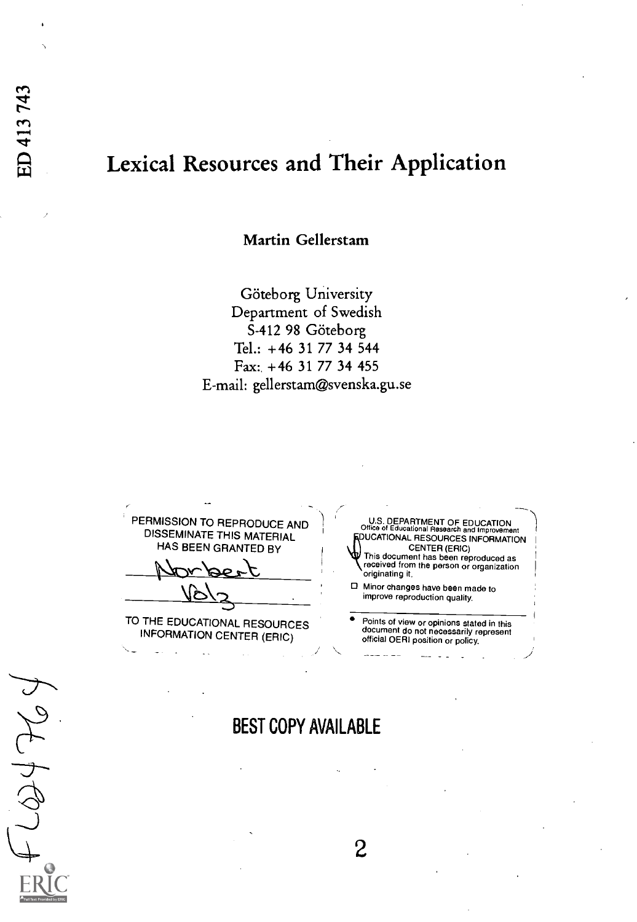JFG

# Lexical Resources and Their Application

Martin Gellerstam

Göteborg University Department of Swedish S-412 98 Göteborg Tel.: +46 31 77 34 544 Fax: +46 31 77 34 455 E-mail: gellerstam@svenska.gu.se

PERMISSION TO REPRODUCE AND DISSEMINATE THIS MATERIAL HAS BEEN GRANTED BY TO THE EDUCATIONAL RESOURCES <sup>.</sup> Points of view or opinions stated in this  $\overline{\phantom{a}}$ U.S. DEPARTMENT OF EDUCATION<br>Office of Educational Research and Improveme OUCATIONAL RESOURCES INFORMATION<br>QUICATIONAL RESOURCES INFORMATION CENTER (ERIC) This document has been reproduced as received from the person or organization originating it. Minor changes have been made to improve reproduction quality. Points of view or opinions stated in this document do not necessarily represent

INFORMATION CENTER (ERIC)

BEST COPY AVAILABLE

 $\overline{2}$ 

official OERI position or policy.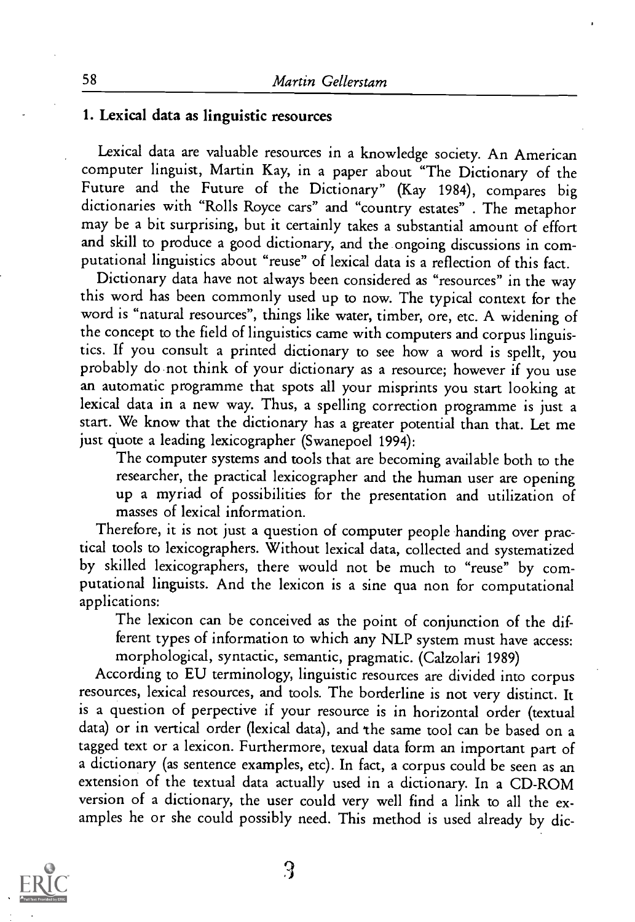#### 1. Lexical data as linguistic resources

Lexical data are valuable resources in a knowledge society. An American computer linguist, Martin Kay, in a paper about "The Dictionary of the Future and the Future of the Dictionary" (Kay 1984), compares big dictionaries with "Rolls Royce cars" and "country estates" . The metaphor may be a bit surprising, but it certainly takes a substantial amount of effort and skill to produce a good dictionary, and the ongoing discussions in computational linguistics about "reuse" of lexical data is a reflection of this fact.

Dictionary data have not always been considered as "resources" in the way this word has been commonly used up to now. The typical context for the word is "natural resources", things like water, timber, ore, etc. A widening of the concept to the field of linguistics came with computers and corpus linguistics. If you consult a printed dictionary to see how a word is spellt, you probably do not think of your dictionary as a resource; however if you use an automatic programme that spots all your misprints you start looking at lexical data in a new way. Thus, a spelling correction programme is just a start. We know that the dictionary has a greater potential than that. Let me just quote a leading lexicographer (Swanepoel 1994):

The computer systems and tools that are becoming available both to the researcher, the practical lexicographer and the human user are opening up a myriad of possibilities for the presentation and utilization of masses of lexical information.

Therefore, it is not just a question of computer people handing over practical tools to lexicographers. Without lexical data, collected and systematized by skilled lexicographers, there would not be much to "reuse" by computational linguists. And the lexicon is a sine qua non for computational applications:

The lexicon can be conceived as the point of conjunction of the different types of information to which any NLP system must have access: morphological, syntactic, semantic, pragmatic. (Calzolari 1989)

According to EU terminology, linguistic resources are divided into corpus resources, lexical resources, and tools. The borderline is not very distinct. It is a question of perpective if your resource is in horizontal order (textual data) or in vertical order (lexical data), and 'the same tool can be based on a tagged text or a lexicon. Furthermore, texual data form an important part of a dictionary (as sentence examples, etc). In fact, a corpus could be seen as an extension of the textual data actually used in a dictionary. In a CD-ROM version of a dictionary, the user could very well find a link to all the examples he or she could possibly need. This method is used already by dic-

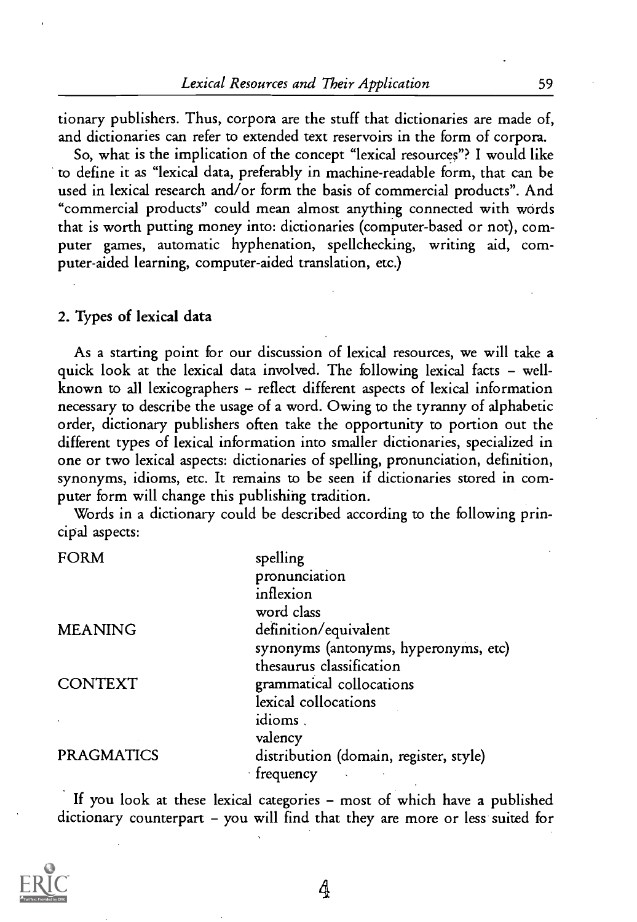tionary publishers. Thus, corpora are the stuff that dictionaries are made of, and dictionaries can refer to extended text reservoirs in the form of corpora.

So, what is the implication of the concept "lexical resources"? I would like to define it as "lexical data, preferably in machine-readable form, that can be used in lexical research and/or form the basis of commercial products". And "commercial products" could mean almost anything connected with words that is worth putting money into: dictionaries (computer-based or not), computer games, automatic hyphenation, spellchecking, writing aid, computer-aided learning, computer-aided translation, etc.)

#### 2. Types of lexical data

As a starting point for our discussion of lexical resources, we will take a quick look at the lexical data involved. The following lexical facts - wellknown to all lexicographers - reflect different aspects of lexical information necessary to describe the usage of a word. Owing to the tyranny of alphabetic order, dictionary publishers often take the opportunity to portion out the different types of lexical information into smaller dictionaries, specialized in one or two lexical aspects: dictionaries of spelling, pronunciation, definition, synonyms, idioms, etc. It remains to be seen if dictionaries stored in computer form will change this publishing tradition.

Words in a dictionary could be described according to the following principal aspects:

| <b>FORM</b>       | spelling                               |
|-------------------|----------------------------------------|
|                   | pronunciation                          |
|                   | inflexion                              |
|                   | word class                             |
| <b>MEANING</b>    | definition/equivalent                  |
|                   | synonyms (antonyms, hyperonyms, etc)   |
|                   | thesaurus classification               |
| <b>CONTEXT</b>    | grammatical collocations               |
|                   | lexical collocations                   |
|                   | idioms.                                |
|                   | valency                                |
| <b>PRAGMATICS</b> | distribution (domain, register, style) |
|                   | $\cdot$ frequency                      |
|                   |                                        |

If you look at these lexical categories - most of which have a published dictionary counterpart - you will find that they are more or less suited for

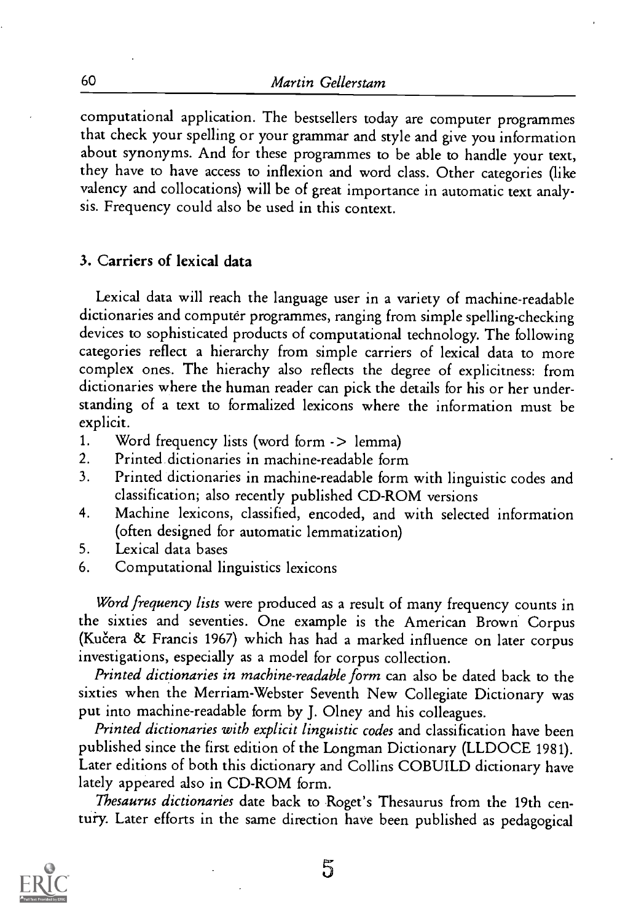computational application. The bestsellers today are computer programmes that check your spelling or your grammar and style and give you information about synonyms. And for these programmes to be able to handle your text, they have to have access to inflexion and word class. Other categories (like valency and collocations) will be of great importance in automatic text analysis. Frequency could also be used in this context.

#### 3. Carriers of lexical data

Lexical data will reach the language user in a variety of machine-readable dictionaries and computer programmes, ranging from simple spelling-checking devices to sophisticated products of computational technology. The following categories reflect a hierarchy from simple carriers of lexical data to more complex ones. The hierachy also reflects the degree of explicitness: from dictionaries where the human reader can pick the details for his or her understanding of a text to formalized lexicons where the information must be explicit.

- 1. Word frequency lists (word form -> lemma)<br>2. Printed dictionaries in machine-readable form
- Printed dictionaries in machine-readable form
- 3. Printed dictionaries in machine-readable form with linguistic codes and classification; also recently published CD-ROM versions
- 4. Machine lexicons, classified, encoded, and with selected information (often designed for automatic lemmatization)
- 5. Lexical data bases
- 6. Computational linguistics lexicons

Word frequency lists were produced as a result of many frequency counts in the sixties and seventies. One example is the American Brown Corpus (Kučera & Francis 1967) which has had a marked influence on later corpus investigations, especially as a model for corpus collection.

Printed dictionaries in machine-readable form can also be dated back to the sixties when the Merriam-Webster Seventh New Collegiate Dictionary was put into machine-readable form by J. Olney and his colleagues.

Printed dictionaries with explicit linguistic codes and classification have been published since the first edition of the Longman Dictionary (LLDOCE 1981). Later editions of both this dictionary and Collins COBUILD dictionary have lately appeared also in CD-ROM form.

Thesaurus dictionaries date back to Roget's Thesaurus from the 19th centuiy. Later efforts in the same direction have been published as pedagogical



5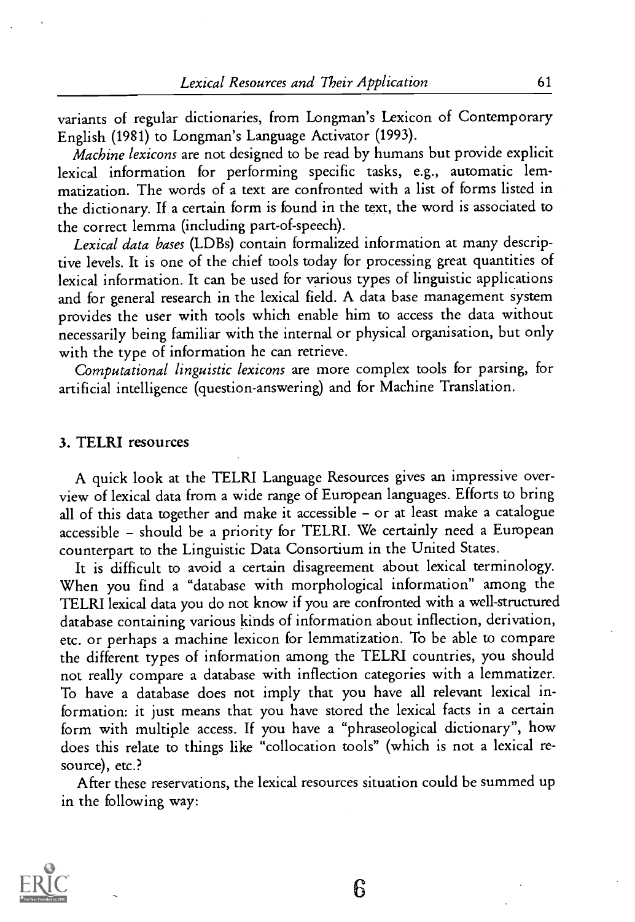variants of regular dictionaries, from Longman's Lexicon of Contemporary English (1981) to Longman's Language Activator (1993).

Machine lexicons are not designed to be read by humans but provide explicit lexical information for performing specific tasks, e.g., automatic lemmatization. The words of a text are confronted with a list of forms listed in the dictionary. If a certain form is found in the text, the word is associated to the correct lemma (including part-of-speech).

Lexical data bases (LDBs) contain formalized information at many descriptive levels. It is one of the chief tools today for processing great quantities of lexical information. It can be used for various types of linguistic applications and for general research in the lexical field. A data base management system provides the user with tools which enable him to access the data without necessarily being familiar with the internal or physical organisation, but only with the type of information he can retrieve.

Computational linguistic lexicons are more complex tools for parsing, for artificial intelligence (question-answering) and for Machine Translation.

#### 3. TELRI resources

A quick look at the TELRI Language Resources gives an impressive overview of lexical data from a wide range of European languages. Efforts to bring all of this data together and make it accessible - or at least make a catalogue accessible - should be a priority for TELRI. We certainly need a European counterpart to the Linguistic Data Consortium in the United States.

It is difficult to avoid a certain disagreement about lexical terminology. When you find a "database with morphological information" among the TELRI lexical data you do not know if you are confronted with a well-structured database containing various kinds of information about inflection, derivation, etc. or perhaps a machine lexicon for lemmatization. To be able to compare the different types of information among the TELRI countries, you should not really compare a database with inflection categories with a lemmatizer. To have a database does not imply that you have all relevant lexical information: it just means that you have stored the lexical facts in a certain form with multiple access. If you have a "phraseological dictionary", how does this relate to things like "collocation tools" (which is not a lexical resource), etc.?

After these reservations, the lexical resources situation could be summed up in the following way:

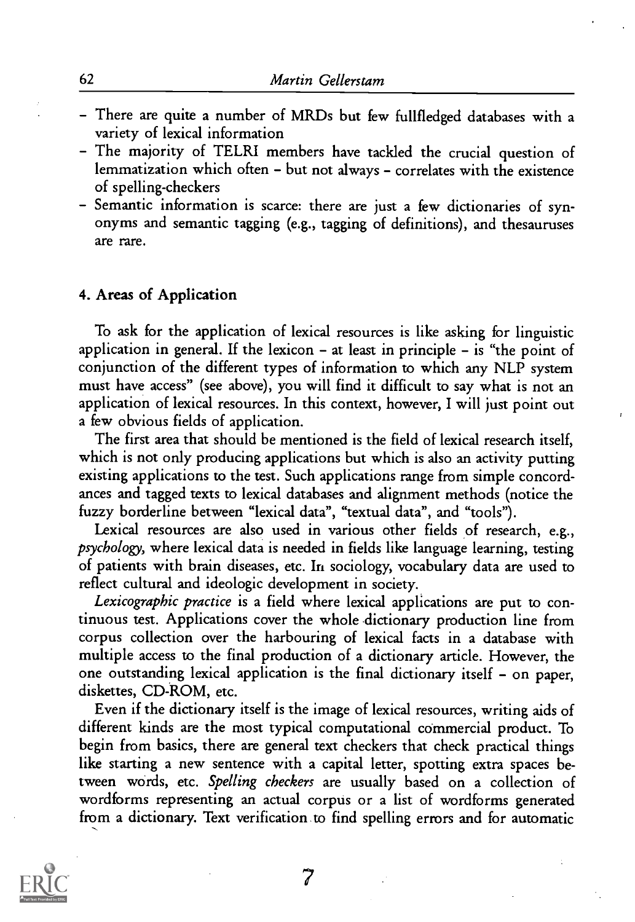- There are quite a number of MRDs but few fullfledged databases with a variety of lexical information
- The majority of TELRI members have tackled the crucial question of lemmatization which often - but not always - correlates with the existence of spelling-checkers
- Semantic information is scarce: there are just a few dictionaries of synonyms and semantic tagging (e.g., tagging of definitions), and thesauruses are rare.

#### 4. Areas of Application

To ask for the application of lexical resources is like asking for linguistic application in general. If the lexicon  $-$  at least in principle  $-$  is "the point of conjunction of the different types of information to which any NLP system must have access" (see above), you will find it difficult to say what is not an application of lexical resources. In this context, however, I will just point out a few obvious fields of application.

The first area that should be mentioned is the field of lexical research itself, which is not only producing applications but which is also an activity putting existing applications to the test. Such applications range from simple concordances and tagged texts to lexical databases and alignment methods (notice the fuzzy borderline between "lexical data", "textual data", and "tools").

Lexical resources are also used in various other fields of research, e.g., psychology, where lexical data is needed in fields like language learning, testing of patients with brain diseases, etc. In sociology, vocabulary data are used to reflect cultural and ideologic development in society.

Lexicographic practice is a field where lexical applications are put to continuous test. Applications cover the whole dictionary production line from corpus collection over the harbouring of lexical facts in a database with multiple access to the final production of a dictionary article. However, the one outstanding lexical application is the final dictionary itself - on paper, diskettes, CD-ROM, etc.

Even if the dictionary itself is the image of lexical resources, writing aids of different kinds are the most typical computational commercial product. To begin from basics, there are general text checkers that check practical things like starting a new sentence with a capital letter, spotting extra spaces between words, etc. Spelling checkers are usually based on a collection of wordforms representing an actual corpus or a list of wordforms generated from a dictionary. Text verification to find spelling errors and for automatic



7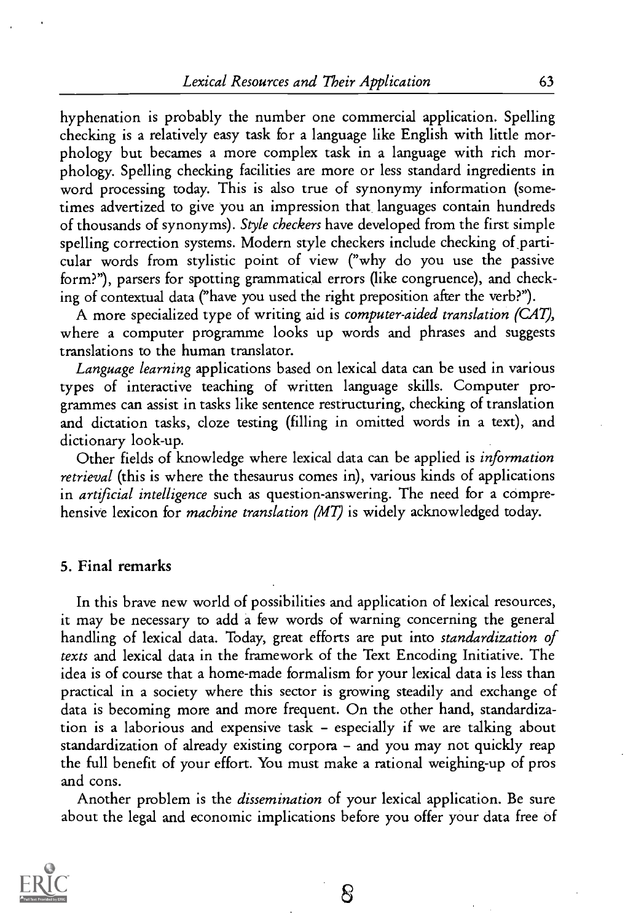hyphenation is probably the number one commercial application. Spelling checking is a relatively easy task for a language like English with little morphology but becames a more complex task in a language with rich morphology. Spelling checking facilities are more or less standard ingredients in word processing today. This is also true of synonymy information (sometimes advertized to give you an impression that languages contain hundreds of thousands of synonyms). Style checkers have developed from the first simple spelling correction systems. Modern style checkers include checking of\_particular words from stylistic point of view ("why do you use the passive form?"), parsers for spotting grammatical errors (like congruence), and checking of contextual data ("have you used the right preposition after the verb?").

A more specialized type of writing aid is computer-aided translation (CAT), where a computer programme looks up words and phrases and suggests translations to the human translator.

Language learning applications based on lexical data can be used in various types of interactive teaching of written language skills. Computer programmes can assist in tasks like sentence restructuring, checking of translation and dictation tasks, doze testing (filling in omitted words in a text), and dictionary look-up.

Other fields of knowledge where lexical data can be applied is information retrieval (this is where the thesaurus comes in), various kinds of applications in *artificial intelligence* such as question-answering. The need for a comprehensive lexicon for *machine translation (MT)* is widely acknowledged today.

#### 5. Final remarks

In this brave new world of possibilities and application of lexical resources, it may be necessary to add a few words of warning concerning the general handling of lexical data. Today, great efforts are put into standardization of texts and lexical data in the framework of the Text Encoding Initiative. The idea is of course that a home-made formalism for your lexical data is less than practical in a society where this sector is growing steadily and exchange of data is becoming more and more frequent. On the other hand, standardization is a laborious and expensive task  $-$  especially if we are talking about standardization of already existing corpora - and you may not quickly reap the full benefit of your effort. You must make a rational weighing-up of pros and cons.

Another problem is the dissemination of your lexical application. Be sure about the legal and economic implications before you offer your data free of

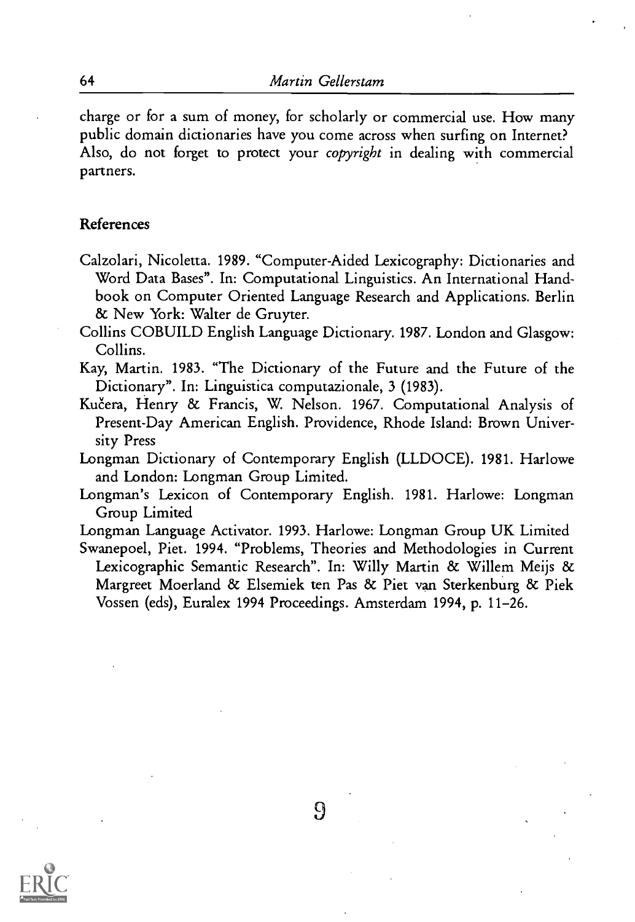charge or for a sum of money, for scholarly or commercial use. How many public domain dictionaries have you come across when surfing on Internet? Also, do not forget to protect your copyright in dealing with commercial partners.

#### References

- Calzolari, Nicoletta. 1989. "Computer-Aided Lexicography: Dictionaries and Word Data Bases". In: Computational Linguistics. An International Handbook on Computer Oriented Language Research and Applications. Berlin & New York: Walter de Gruyter.
- Collins COBUILD English Language Dictionary. 1987. London and Glasgow: Collins.
- Kay, Martin. 1983. "The Dictionary of the Future and the Future of the Dictionary". In: Linguistica computazionale, 3 (1983).
- Kučera, Henry & Francis, W. Nelson. 1967. Computational Analysis of Present-Day American English. Providence, Rhode Island: Brown University Press
- Longman Dictionary of Contemporary English (LLDOCE). 1981. Harlowe and London: Longman Group Limited.
- Longman's Lexicon of Contemporary English. 1981. Harlowe: Longman Group Limited
- Longman Language Activator. 1993. Harlowe: Longman Group UK Limited
- Swanepoel, Piet. 1994. "Problems, Theories and Methodologies in Current Lexicographic Semantic Research". In: Willy Martin & Willem Meijs & Margreet Moerland & Elsemiek ten Pas & Piet van Sterkenburg & Piek Vossen (eds), Euralex 1994 Proceedings. Amsterdam 1994, p. 11-26.



9